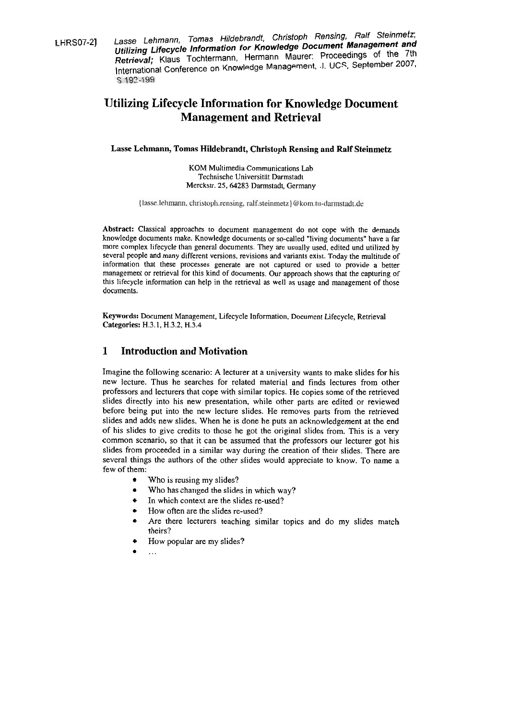LHRS07-2] Lasse Lehmann, Tomas Hildebrandt, Christoph Rensing, Ralf Steinmetz; **Utilizing Lifecycle Information for Knowledge Document Management end Retrieval;** Klaus Tochtermann, Hermann Maurer: Proceedings of the 7th International Conference on Knowledge Management, J. **UCS,** September 2007,

# **Utilizing Lifecycle Information for Knowledge Document Management and Retrieval**

#### **Lasse Lehmann, Tomas Hildebrandt, Christoph Rensing and Ralf Steinmetz**

KOM Multimedia Communications Lab Technische Universität Darrnstadt Merckstr. 25,64283 Darmstadt, Germany

{lasse.lehmann, christoph.rensing, ralf.steinmetz}@kom.tu-darmstadt.de

**Abstract:** Classical approaches to document managernent do not cope with the dernands knowledge documents make. Knowledge documents or so-called "living documents" have a far more complex lifecycle than general documents. They are usually used, edited und utilized by several people and many different versions, revisions and variants exist. Today the multitude of inforrnation that these processes generate are not captured or used to provide a better management or retrieval for this kind of documents. Our approach shows that the capturing of this lifecycle information can help in the retrieval as well as usage and management of those documents.

**Keywords:** Document Management, Lifecycle Information, Document Lifecycle, Retrieval **Categories:** H.3.1, H.3.2, H.3.4

## **1 Introduction and Motivation**

Imagine the following scenario: A lecturer at a university wants to make slides for his new lecture. Thus he searches for related material and finds lectures from other professors and lecturers that cope with similar topics. He copies some of the retrieved slides directly into his new presentation, while other parts are edited or reviewed before being put into the new lecture slides. He removes parts from the retrieved slides and adds new slides. When he is done he puts an acknowledgement at the end of his slides to give credits to those he got the original slides from. This is a very common scenario, so that it can be assumed that the professors our lecturer got his slides from proceeded in a similar way during the creation of their slides. There are several things the authors of the other slides would appreciate to know. To name a few of them:

- Who is reusing my slides?
- $\bullet$ Who has changed the slides in which way?
- In which context are the slides re-used?
- How often are the slides re-used?
- Are there lecturers teaching similar topics and do my slides match theirs?
- How popular are my slides?
- ...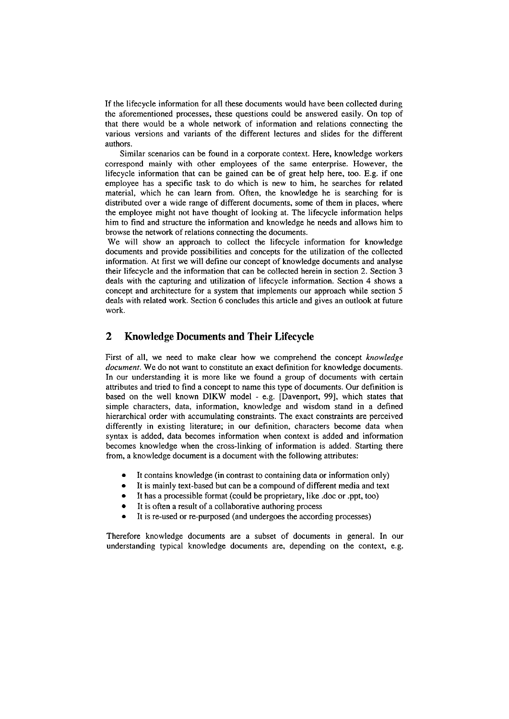If the lifecycle information for all these documents would have been collected during the aforementioned processes, these questions could be answered easily. On top of that there would be a whole network of information and relations connecting the various versions and variants of the different lectures and slides for the different authors.

Similar scenarios can be found in a corporate context. Here, knowledge workers correspond mainly with other employees of the Same enterprise. However, the lifecycle information that can be gained can be of great help here, too. E.g. if one employee has a specific task to do which is new to him, he searches for related material, which he can learn from. Often, the knowledge he is searching for is distributed over a wide range of different documents, some of them in places, where the employee might not have thought of looking at. The lifecycle information helps him to find and structure the information and knowledge he needs and allows him to browse the network of relations connecting the documents.

We will show an approach to collect the lifecycle information for knowledge documents and provide possibilities and concepts for the utilization of the collected information. At first we will define our concept of knowledge documents and analyse their lifecycle and the information that can be collected herein in section 2. Section **3**  deals with the capturing and utilization of lifecycle information. Section 4 shows a concept and architecture for a system that implements our approach while section 5 deals with related work. Section 6 concludes this article and gives an outlook at future work.

## **2 Knowledge Documents and Their Lifecycle**

First of all, we need to make clear how we comprehend the concept *knowledge document*. We do not want to constitute an exact definition for knowledge documents. In our understanding it is more like we found a group of documents with certain attributes and tried to find a concept to name this type of documents. Our definition is based on the well known DIKW model - e.g. [Davenport, 99], which states that simple characters, data, information, knowledge and wisdom stand in a defined hierarchical order with accumulating constraints. The exact constraints are perceived differently in existing literature; in our definition, characters become data when syntax is added, data becomes information when context is added and information becomes knowledge when the cross-linking of information is added. Starting there from, a knowledge document is a document with the following attributes:

- It contains knowledge (in contrast to containing data or information only)
- $\bullet$ It is mainly text-based but can be a compound of different media and text
- $\bullet$ It has a processible format (could be proprietary, like .doc or .ppt, too)
- $\bullet$ It is often a result of a collaborative authoring process
- It is re-used or re-purposed (and undergoes the according processes)

Therefore knowledge documents are a subset of documents in general. In our understanding typical knowledge documents are, depending on the context, e.g.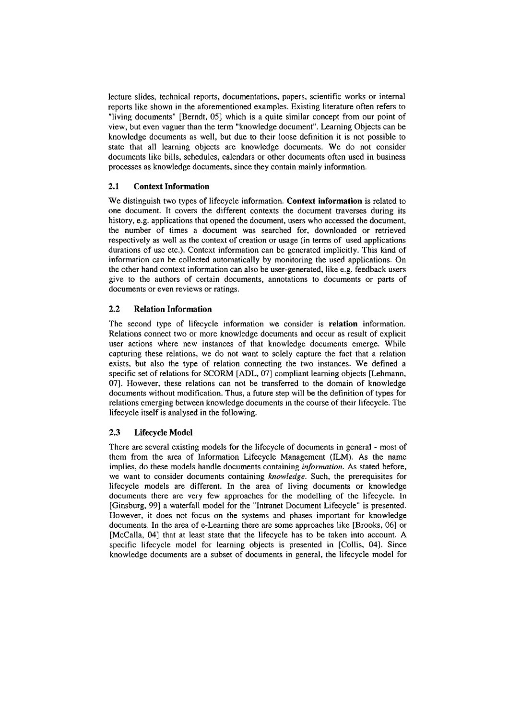lecture slides, technical reports, documentations, papers, scientific works or internal reports like shown in the aforementioned examples. Existing literature often refers to "living documents" [Berndt, 051 which is a quite similar concept from our point of view, but even vaguer than the term "knowledge document". Learning Objects can be knowledge documents as well, but due to their loose definition it is not possible to state that all learning objects are knowledge documents. We do not consider documents like bills, schedules, calendars or other documents often used in business processes as knowledge documents, since they contain mainly information.

### **2.1 Context Information**

We distinguish two types of lifecycle information. **Context information** is related to one document. It Covers the different contexts the document traverses during its history, e.g. applications that opened the document, users who accessed the document, the number of times a document was searched for, downloaded or retrieved respectively as well as the context of creation or usage (in terms of used applications durations of use etc.). Context information can be generated implicitly. This kind of information can be collected automatically by monitoring the used applications. On the other hand context information can also be user-generated, like e.g. feedback users give to the authors of certain documents, annotations to documents or parts of documents or even reviews or ratings.

### **2.2 Relation Information**

The second type of lifecycle information we consider is **relation** information. Relations connect two or more knowledge documents and occur as result of explicit user actions where new instances of that knowledge documents emerge. While capturing these relations, we do not Want to solely capture the fact that a relation exists, but also the type of relation comecting the two instances. We defined a specific set of relations for SCORM [ADL, 07] compliant learning objects [Lehmann, 071. However, these relations can not be transferred to the domain of knowledge documents without modification. Thus, a future step will be the definition of types for relations emerging between knowledge documents in the Course of their lifecycle. The lifecycle itself is analysed in the following.

#### **2.3 Lifecycle Model**

There are several existing models for the lifecycle of documents in general - most of them from the area of Information Lifecycle Management (ILM). As the name implies, do these models handle documents containing *information*. As stated before, we Want to consider documents containing *knowledge.* Such, the prerequisites for lifecycle models are different. In the area of living documents or knowledge documents there are very few approaches for the modelling of the lifecycle. In [Ginsburg, **991** a waterfall model for the "Intranet Document Lifecycle" is presented. However, it does not focus on the Systems and phases important for knowledge documents. In the area of e-Learning there are some approaches like [Brooks, 06] or [McCalla, 041 that at least state that the lifecycle has to be taken into account. **A**  specific lifecycle model for learning objects is presented in [Collis, 041. Since knowledge documents are a subset of documents in general, the lifecycle model for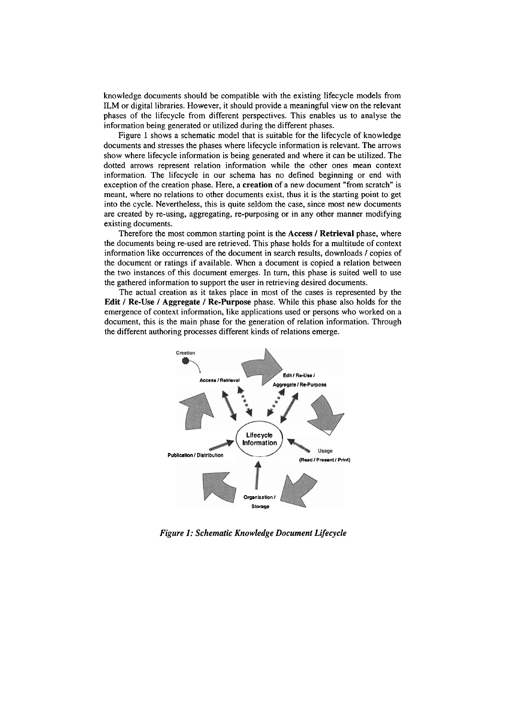knowledge documents should be compatible with the existing lifecycle models from ILM or digital libraries. However, it should provide a meaningful view on the relevant phases of the lifecycle from different perspectives. This enables us to analyse the information being generated or utilized during the different phases.

Figure 1 shows a schematic model that is suitable for the lifecycle of knowledge documents and Stresses the phases where lifecycle information is relevant. The arrows show where lifecycle information is being generated and where it can be utilized. The dotted arrows represent relation information while the other ones mean context information. The lifecycle in our schema has no defined beginning or end with exception of the creation phase. Here, a **creation** of a new document "from scratch" is meant, where no relations to other documents exist, thus it is the starting point to get into the cycle. Nevertheless, this is quite seldom the case, since most new documents are created by re-using, aggregating, re-purposing or in any other manner modifying existing documents.

Therefore the most comrnon starting point is the **Access** / **Retrieval** phase, where the documents being re-used are retrieved. This phase holds for a multitude of context information like occurrences of the document in search results, downloads / copies of the document or ratings if available. When a document is copied a relation between the two instances of this document emerges. In turn, this phase is suited well to use the gathered information to Support the User in retrieving desired documents.

The actual creation as it takes place in most of the cases is represented by the **Edit** / **Re-Use** / **Aggregate** / **Re-Purpose** phase. While this phase also holds for the emergence of context information, like applications used or persons who worked on a document, this is the main phase for the generation of relation information. Through the different authoring processes different kinds of relations emerge.



*Figure* **1:** *Schematic Knowledge Document Lifecycle*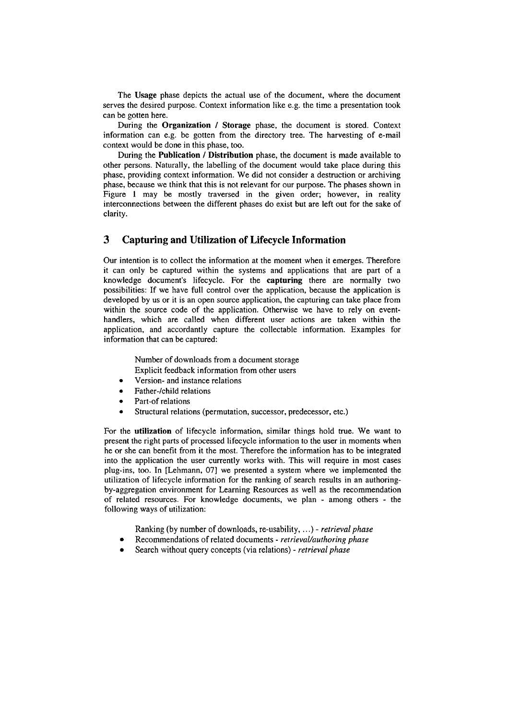The **Usage** phase depicts the actual use of the document, where the document serves the desired purpose. Context information like e.g. the time a presentation took can be gotten here.

During the **Organization** / **Storage** phase, the document is stored. Context information can e.g. be gotten from the directory tree. The harvesting of e-mail context would be done in this phase, too.

During the **Publication** / **Distribution** phase, the document is made available to other persons. Naturally, the labelling of the document would take place during this phase, providing context information. We did not consider a destruction or archiving phase, because we think that this is not relevant for our purpose. The phases shown in Figure 1 may be mostly traversed in the given order; however, in reality interconnections between the different phases do exist but are left out for the sake of clarity.

### **3 Capturing and Utilization of Lifecycle Information**

Our intention is to collect the information at the moment when it emerges. Therefore it can only be captured within the Systems and applications that are part of a knowledge document's lifecycle. For the **capturing** there are normally two possibilities: If we have full control over the application, because the application is developed by us or it is an Open source application, the capturing can take place from within the source code of the application. Otherwise we have to rely on eventhandlers, which are called when different user actions are taken within the application, and accordantly capture the collectable information. Examples for information that can be captured:

> Number of downloads from a document storage Explicit feedback information from other users

- Version- and instance relations  $\bullet$
- Father-/child relations
- Part-of relations
- Structural relations (permutation, successor, predecessor, etc.)

For the **utilization** of lifecycle information, similar things hold true. We want to present the right parts of processed lifecycle information to the user in moments when he or she can benefit from it the most. Therefore the information has to be integrated into the application the user currently works with. This will require in most cases plug-ins, too. In [Lehmann, 071 we presented a system where we implemented the utilization of lifecycle information for the ranking of search results in an authoringby-aggregation environment for Learning Resources as well as the recommendation of related resources. For knowledge documents, we plan - among others - the following ways of utilization:

- Ranking (by number of downloads, re-usability, . . .) *retrieval phase*
- Recommendations of related documents *retrieval/authoring phase*
- Search without query concepts (via relations) *retrieval phase*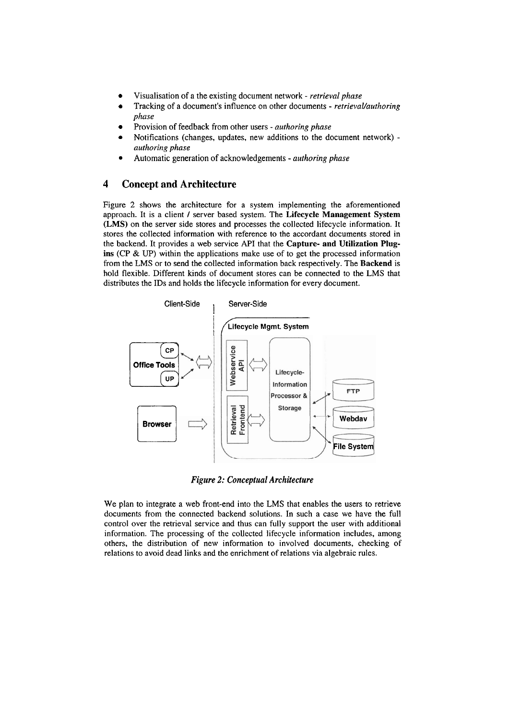- Visualisation of a the existing document network *retrieval phase*
- Tracking of a document's influence on other documents *retrievaVauthoring phase*
- Provision of feedback from other users *authoring phase*
- Notifications (changes, updates, new additions to the document network) *authoring phase*
- Automatic generation of acknowledgements *authoring phase*

## **4 Concept and Architecture**

Figure 2 shows the architecture for a system implementing the aforementioned approach. It is a client / server based system. The **Lifecycle Management System (LMS)** on the server side stores and processes the collected lifecycle information. It stores the collected information with reference to the accordant documents stored in the backend. It provides a web service API that the **Capture- and Utilization Plugins (CP** & UP) within the applications make use of to get the processed information from the **LMS** or to send the collected information back respectively. The **Backend** is hold flexible. Different kinds of document stores can be connected to the **LMS** that distributes the IDs and holds the lifecycle information for every document.



*Figure 2: Conceptual Architecture* 

We plan to integrate a web front-end into the **LMS** that enables the users to retrieve documents from the connected backend solutions. In such a case we have the full control over the retrieval service and thus can fully support the user with additional information. The processing of the coilected lifecycle information includes, among others, the distribution of new information to involved documents, checking of relations to avoid dead links and the enrichment of relations via algebraic rules.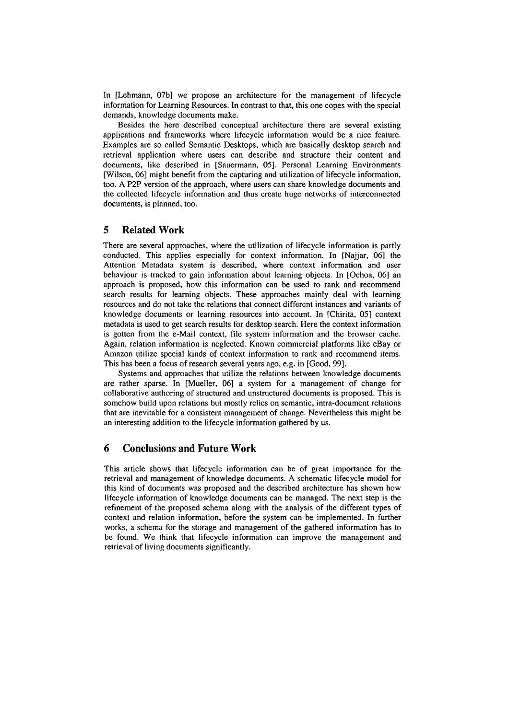In [Lehmann, 07bl we propose an architecture for the management of lifecycle information for Learning Resources. In contrast to that, this one copes with the special demands, knowledge documents make.

Besides the here described conceptual architecture there are several existing applications and frameworks where lifecycle information would be a nice feature. Examples are so called Semantic Desktops, which are basically desktop search and retrieval application where users can describe and structure their content and documents, like described in [Sauermann, 05]. Personal Learning Environments [Wilson, 061 might benefit from the capturing and utilization of lifecycle information, too. **A** P2P version of the approach, where users can share knowledge docurnents and the collected lifecycle information and thus create huge networks of interconnected documents, is planned, too.

### **5 Related Work**

There are several approaches, where the utilization of lifecycle information is partly conducted. This applies especially for context information. In [Najjar, 061 the Attention Metadata system is described, where context information and user behaviour is tracked to gain information about learning objects. In [Ochoa, 061 an approach is proposed, how this information can be used to rank and recommend search results for learning objects. These approaches mainly deal with learning resources and do not take the relations that connect different instances and variants of knowledge documents or learning resources into account. In [Chirita, 051 context metadata is used to get search results for desktop search. Here the context information is gotten from the e-Mail context, file system information and the browser cache. Again, relation information is neglected. Known commercial platforms like eBay or Amazon utilize special kinds of context information to rank and recommend items. This has been a focus of research several years ago, e.g. in [Good, 991.

Systems and approaches that utilize the relations between knowledge documents are rather sparse. In [Mueller, 06] a system for a management of change for collaborative authoring of structured and unstructured documents is proposed. This is somehow build upon relations but mostly relies on semantic, intra-document relations that are inevitable for a consistent management of change. Nevertheless this might be an interesting addition to the lifecycle information gathered by us.

## **6 Conclusions and Future Work**

This article shows that lifecycle information can be of great importance for the retrieval and management of knowledge documents. **A** schematic lifecycle model for this kind of documents was proposed and the described architecture has shown how lifecycle information of knowledge documents can be managed. The next step is the refinement of the proposed schema along with the analysis of the different types of context and relation inforrnation, before the system can be implemented. In further works, a schema for the Storage and management of the gathered information has to be found. We think that lifecycle information can improve the management and retrieval of living documents significantly.